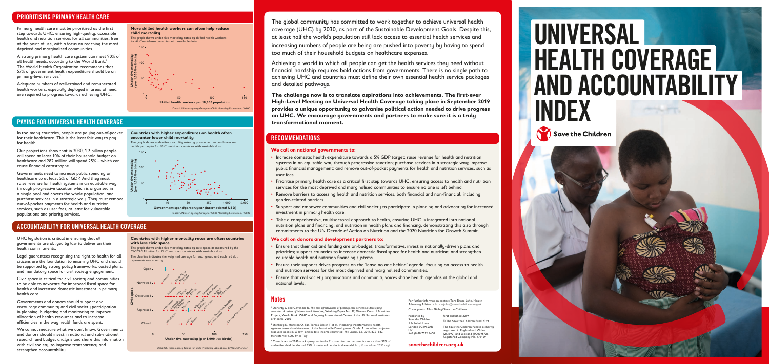# PAYING FOR UNIVERSAL HEALTH COVERAGE

# PRIORITISING PRIMARY HEALTH CARE

Primary health care must be prioritised as the first step towards UHC, ensuring high-quality, accessible health and nutrition services for all communities, free at the point of use, with a focus on reaching the most deprived and marginalised communities.

A strong primary health care system can meet 90% of all health needs, according to the World Bank.<sup>1</sup> The World Health Organization recommends that 57% of government health expenditure should be on primary-level services.2

Adequate numbers of well-trained and remunerated health workers, especially deployed in areas of need, are required to progress towards achieving UHC.



The global community has committed to work together to achieve universal health coverage (UHC) by 2030, as part of the Sustainable Development Goals. Despite this, at least half the world's population still lack access to essential health services and increasing numbers of people are being are pushed into poverty by having to spend too much of their household budgets on healthcare expenses.

Achieving a world in which all people can get the health services they need without financial hardship requires bold actions from governments. There is no single path to achieving UHC and countries must define their own essential health service packages and detailed pathways.

<sup>3</sup> Countdown to 2030 tracks progress in the 81 countries that account for more than 90% of under-five child deaths and 95% of maternal deaths in the world.<http://countdown2030.org/>

**The challenge now is to translate aspirations into achievements. The first-ever High-Level Meeting on Universal Health Coverage taking place in September 2019 provides a unique opportunity to galvanise political action needed to drive progress on UHC. We encourage governments and partners to make sure it is a truly transformational moment.** 

# **RECOMMENDATIONS**

# ACCOUNTABILITY FOR UNIVERSAL HEALTH COVERAGE

1 Doherty G and Govender R, *The cost effectiveness of primary care services in developing countries: A review of international literature*, Working Paper No. 37, Disease Control Priorities Project, World Bank, WHO and Fogarty International Centre of the US National institutes of Health, 2004

2 Stenberg K, Hanssen O, Tan-Torres Edejer T et al. 'Financing transformative health systems towards achievement of the Sustainable Development Goals: A model for projected resource needs in 67 low- and middle-income countries', *The Lancet*, 5.9, 2017, 875–887. Henceforth: 'SDG Price Tag'

For further information contact Tara Brace-John, Health Advocacy Advisor, t[.brace-john@savethechildren.org.uk](mailto:T.Brace-John%40savethechildren.org.uk?subject=) Cover photo: Allan Gichigi/Save the Children

**[savethechildren.org.uk](http://www.savethechildren.org.uk)**

Published by Save the Children 1 St John's Lane London EC1M 4AR UK +44 (0)20 7012 6400 First published 2019 © The Save the Children Fund 2019 The Save the Children Fund is a charity

### registered in England and Wales (213890) and Scotland (SC039570). Registered Company No. 178159

#### **More skilled health workers can often help reduce child mortality**

The graph shows under-five mortality rates by skilled health workers for 42 Countdown countries with available data.



The graph shows under-five mortality rates by government expenditures on health per capita for 80 Countdown countries with available data.







UHC legislation is critical in ensuring that all governments are obliged by law to deliver on their health commitments.

Legal guarantees recognising the right to health for all citizens are the foundation to ensuring UHC and should be supported by strong policy frameworks, costed plans, and mandatory space for civil society engagement.

Civic space is critical for civil society and communities to be able to advocate for improved fiscal space for health and increased domestic investment in primary health care.

Governments and donors should support and encourage community and civil society participation in planning, budgeting and monitoring to improve allocation of health resources and to increase efficiencies in the way health funds are spent.

We cannot measure what we don't know. Governments and donors should invest in national and sub-national research and budget analysis and share this information with civil society, to improve transparency and strengthen accountability.

In too many countries, people are paying out-of-pocket for their healthcare. This is the least fair way to pay for health.

Our projections show that in 2030, 1.2 billion people will spend at least 10% of their household budget on healthcare and 282 million will spend 25% – which can cause financial catastrophe.

Governments need to increase public spending on healthcare to at least 5% of GDP. And they must raise revenue for health systems in an equitable way, through progressive taxation which is organised in a single pool and covers the whole population, and purchase services in a strategic way. They must remove out-of-pocket payments for health and nutrition services, such as user fees, at least for vulnerable populations and priority services.

#### **Countries with higher mortality rates are often countries with less civic space**

The graph shows under-five mortality rates by civic space as measured by the CIVICUS Monitor for 72 Countdown countries with available data.

The blue line indicates the weighted average for each group and each red dot represents one country.



### **We call on national governments to:**

- Increase domestic health expenditure towards a 5% GDP target; raise revenue for health and nutrition systems in an equitable way through progressive taxation; purchase services in a strategic way; improve public financial management; and remove out-of-pocket payments for health and nutrition services, such as user fees.
- Prioritise primary health care as a critical first step towards UHC, ensuring access to health and nutrition services for the most deprived and marginalised communities to ensure no one is left behind.
- Remove barriers to accessing health and nutrition services, both financial and non-financial, including gender-related barriers.
- Support and empower communities and civil society to participate in planning and advocating for increased investment in primary health care.
- Take a comprehensive, multisectoral approach to health, ensuring UHC is integrated into national nutrition plans and financing, and nutrition in health plans and financing, demonstrating this also through commitments to the UN Decade of Action on Nutrition and the 2020 Nutrition for Growth Summit.

### **We call on donors and development partners to:**

- Ensure that their aid and funding are on-budget; transformative, invest in nationally-driven plans and priorities; support countries to increase domestic fiscal space for health and nutrition; and strengthen equitable health and nutrition financing systems.
- Ensure their support drives progress on the 'leave no one behind' agenda, focusing on access to health and nutrition services for the most deprived and marginalised communities.
- Ensure that civil society organisations and community voices shape health agendas at the global and national levels.

## **Notes**